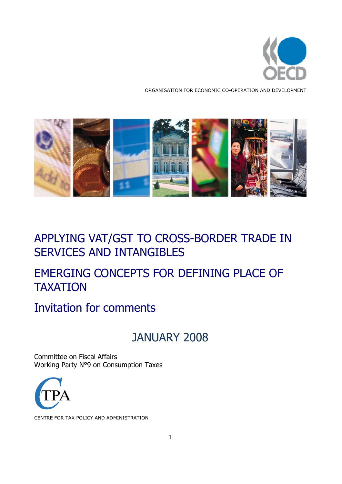

ORGANISATION FOR ECONOMIC CO-OPERATION AND DEVELOPMENT



### APPLYING VAT/GST TO CROSS-BORDER TRADE IN SERVICES AND INTANGIBLES

# EMERGING CONCEPTS FOR DEFINING PLACE OF TAXATION

### Invitation for comments

# JANUARY 2008

Committee on Fiscal Affairs Working Party N°9 on Consumption Taxes



CENTRE FOR TAX POLICY AND ADMINISTRATION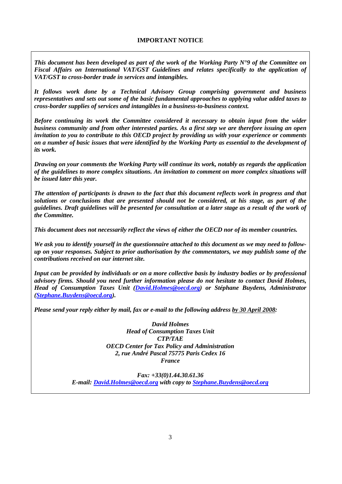*This document has been developed as part of the work of the Working Party N°9 of the Committee on Fiscal Affairs on International VAT/GST Guidelines and relates specifically to the application of VAT/GST to cross-border trade in services and intangibles.* 

*It follows work done by a Technical Advisory Group comprising government and business representatives and sets out some of the basic fundamental approaches to applying value added taxes to cross-border supplies of services and intangibles in a business-to-business context.* 

*Before continuing its work the Committee considered it necessary to obtain input from the wider business community and from other interested parties. As a first step we are therefore issuing an open invitation to you to contribute to this OECD project by providing us with your experience or comments on a number of basic issues that were identified by the Working Party as essential to the development of its work.* 

*Drawing on your comments the Working Party will continue its work, notably as regards the application of the guidelines to more complex situations. An invitation to comment on more complex situations will be issued later this year.* 

*The attention of participants is drawn to the fact that this document reflects work in progress and that solutions or conclusions that are presented should not be considered, at his stage, as part of the guidelines. Draft guidelines will be presented for consultation at a later stage as a result of the work of the Committee.* 

*This document does not necessarily reflect the views of either the OECD nor of its member countries.* 

*We ask you to identify yourself in the questionnaire attached to this document as we may need to followup on your responses. Subject to prior authorisation by the commentators, we may publish some of the contributions received on our internet site.* 

*Input can be provided by individuals or on a more collective basis by industry bodies or by professional advisory firms. Should you need further information please do not hesitate to contact David Holmes, Head of Consumption Taxes Unit (David.Holmes@oecd.org) or Stéphane Buydens, Administrator (Stephane.Buydens@oecd.org).* 

*Please send your reply either by mail, fax or e-mail to the following address by 30 April 2008:* 

*David Holmes Head of Consumption Taxes Unit CTP/TAE OECD Center for Tax Policy and Administration 2, rue André Pascal 75775 Paris Cedex 16 France* 

*Fax: +33(0)1.44.30.61.36 E-mail: David.Holmes@oecd.org with copy to Stephane.Buydens@oecd.org*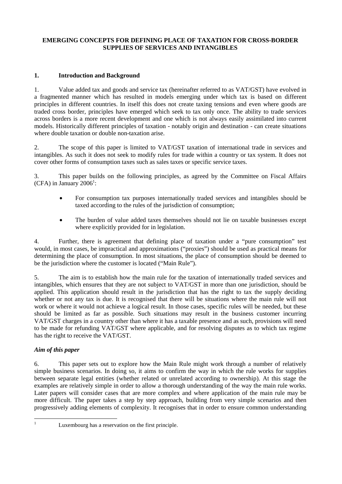#### **EMERGING CONCEPTS FOR DEFINING PLACE OF TAXATION FOR CROSS-BORDER SUPPLIES OF SERVICES AND INTANGIBLES**

#### **1. Introduction and Background**

1. Value added tax and goods and service tax (hereinafter referred to as VAT/GST) have evolved in a fragmented manner which has resulted in models emerging under which tax is based on different principles in different countries. In itself this does not create taxing tensions and even where goods are traded cross border, principles have emerged which seek to tax only once. The ability to trade services across borders is a more recent development and one which is not always easily assimilated into current models. Historically different principles of taxation - notably origin and destination - can create situations where double taxation or double non-taxation arise.

2. The scope of this paper is limited to VAT/GST taxation of international trade in services and intangibles. As such it does not seek to modify rules for trade within a country or tax system. It does not cover other forms of consumption taxes such as sales taxes or specific service taxes.

3. This paper builds on the following principles, as agreed by the Committee on Fiscal Affairs  $(CFA)$  in January 2006<sup>1</sup>:

- For consumption tax purposes internationally traded services and intangibles should be taxed according to the rules of the jurisdiction of consumption;
- The burden of value added taxes themselves should not lie on taxable businesses except where explicitly provided for in legislation.

4. Further, there is agreement that defining place of taxation under a "pure consumption" test would, in most cases, be impractical and approximations ("proxies") should be used as practical means for determining the place of consumption. In most situations, the place of consumption should be deemed to be the jurisdiction where the customer is located ("Main Rule").

5. The aim is to establish how the main rule for the taxation of internationally traded services and intangibles, which ensures that they are not subject to VAT/GST in more than one jurisdiction, should be applied. This application should result in the jurisdiction that has the right to tax the supply deciding whether or not any tax is due. It is recognised that there will be situations where the main rule will not work or where it would not achieve a logical result. In those cases, specific rules will be needed, but these should be limited as far as possible. Such situations may result in the business customer incurring VAT/GST charges in a country other than where it has a taxable presence and as such, provisions will need to be made for refunding VAT/GST where applicable, and for resolving disputes as to which tax regime has the right to receive the VAT/GST.

#### *Aim of this paper*

6. This paper sets out to explore how the Main Rule might work through a number of relatively simple business scenarios. In doing so, it aims to confirm the way in which the rule works for supplies between separate legal entities (whether related or unrelated according to ownership). At this stage the examples are relatively simple in order to allow a thorough understanding of the way the main rule works. Later papers will consider cases that are more complex and where application of the main rule may be more difficult. The paper takes a step by step approach, building from very simple scenarios and then progressively adding elements of complexity. It recognises that in order to ensure common understanding

<sup>|&</sup>lt;br>|<br>|

Luxembourg has a reservation on the first principle.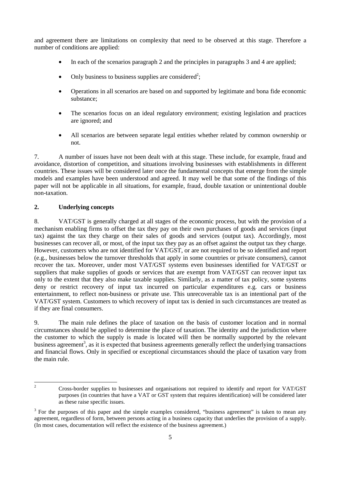and agreement there are limitations on complexity that need to be observed at this stage. Therefore a number of conditions are applied:

- In each of the scenarios paragraph 2 and the principles in paragraphs 3 and 4 are applied;
- Only business to business supplies are considered<sup>2</sup>;
- Operations in all scenarios are based on and supported by legitimate and bona fide economic substance;
- The scenarios focus on an ideal regulatory environment; existing legislation and practices are ignored; and
- All scenarios are between separate legal entities whether related by common ownership or not.

7. A number of issues have not been dealt with at this stage. These include, for example, fraud and avoidance, distortion of competition, and situations involving businesses with establishments in different countries. These issues will be considered later once the fundamental concepts that emerge from the simple models and examples have been understood and agreed. It may well be that some of the findings of this paper will not be applicable in all situations, for example, fraud, double taxation or unintentional double non-taxation.

#### **2. Underlying concepts**

8. VAT/GST is generally charged at all stages of the economic process, but with the provision of a mechanism enabling firms to offset the tax they pay on their own purchases of goods and services (input tax) against the tax they charge on their sales of goods and services (output tax). Accordingly, most businesses can recover all, or most, of the input tax they pay as an offset against the output tax they charge. However, customers who are not identified for VAT/GST, or are not required to be so identified and report (e.g., businesses below the turnover thresholds that apply in some countries or private consumers), cannot recover the tax. Moreover, under most VAT/GST systems even businesses identified for VAT/GST or suppliers that make supplies of goods or services that are exempt from VAT/GST can recover input tax only to the extent that they also make taxable supplies. Similarly, as a matter of tax policy, some systems deny or restrict recovery of input tax incurred on particular expenditures e.g. cars or business entertainment, to reflect non-business or private use. This unrecoverable tax is an intentional part of the VAT/GST system. Customers to which recovery of input tax is denied in such circumstances are treated as if they are final consumers.

9. The main rule defines the place of taxation on the basis of customer location and in normal circumstances should be applied to determine the place of taxation. The identity and the jurisdiction where the customer to which the supply is made is located will then be normally supported by the relevant business agreement<sup>3</sup>, as it is expected that business agreements generally reflect the underlying transactions and financial flows. Only in specified or exceptional circumstances should the place of taxation vary from the main rule.

 $\frac{1}{2}$ 

Cross-border supplies to businesses and organisations not required to identify and report for VAT/GST purposes (in countries that have a VAT or GST system that requires identification) will be considered later as these raise specific issues.

 $3$  For the purposes of this paper and the simple examples considered, "business agreement" is taken to mean any agreement, regardless of form, between persons acting in a business capacity that underlies the provision of a supply. (In most cases, documentation will reflect the existence of the business agreement.)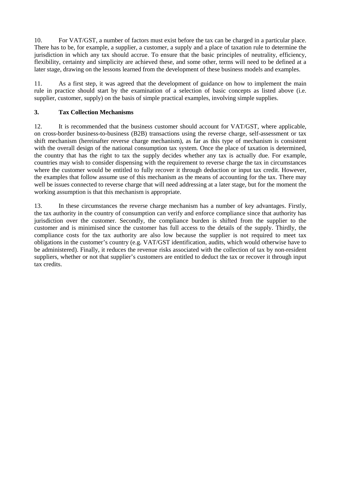10. For VAT/GST, a number of factors must exist before the tax can be charged in a particular place. There has to be, for example, a supplier, a customer, a supply and a place of taxation rule to determine the jurisdiction in which any tax should accrue. To ensure that the basic principles of neutrality, efficiency, flexibility, certainty and simplicity are achieved these, and some other, terms will need to be defined at a later stage, drawing on the lessons learned from the development of these business models and examples.

11. As a first step, it was agreed that the development of guidance on how to implement the main rule in practice should start by the examination of a selection of basic concepts as listed above (i.e. supplier, customer, supply) on the basis of simple practical examples, involving simple supplies.

#### **3. Tax Collection Mechanisms**

12. It is recommended that the business customer should account for VAT/GST, where applicable, on cross-border business-to-business (B2B) transactions using the reverse charge, self-assessment or tax shift mechanism (hereinafter reverse charge mechanism), as far as this type of mechanism is consistent with the overall design of the national consumption tax system. Once the place of taxation is determined, the country that has the right to tax the supply decides whether any tax is actually due. For example, countries may wish to consider dispensing with the requirement to reverse charge the tax in circumstances where the customer would be entitled to fully recover it through deduction or input tax credit. However, the examples that follow assume use of this mechanism as the means of accounting for the tax. There may well be issues connected to reverse charge that will need addressing at a later stage, but for the moment the working assumption is that this mechanism is appropriate.

13. In these circumstances the reverse charge mechanism has a number of key advantages. Firstly, the tax authority in the country of consumption can verify and enforce compliance since that authority has jurisdiction over the customer. Secondly, the compliance burden is shifted from the supplier to the customer and is minimised since the customer has full access to the details of the supply. Thirdly, the compliance costs for the tax authority are also low because the supplier is not required to meet tax obligations in the customer's country (e.g. VAT/GST identification, audits, which would otherwise have to be administered). Finally, it reduces the revenue risks associated with the collection of tax by non-resident suppliers, whether or not that supplier's customers are entitled to deduct the tax or recover it through input tax credits.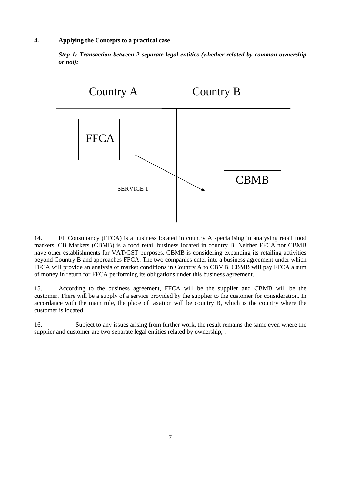#### **4. Applying the Concepts to a practical case**

*Step 1: Transaction between 2 separate legal entities (whether related by common ownership or not):* 



14. FF Consultancy (FFCA) is a business located in country A specialising in analysing retail food markets, CB Markets (CBMB) is a food retail business located in country B. Neither FFCA nor CBMB have other establishments for VAT/GST purposes. CBMB is considering expanding its retailing activities beyond Country B and approaches FFCA. The two companies enter into a business agreement under which FFCA will provide an analysis of market conditions in Country A to CBMB. CBMB will pay FFCA a sum of money in return for FFCA performing its obligations under this business agreement.

15. According to the business agreement, FFCA will be the supplier and CBMB will be the customer. There will be a supply of a service provided by the supplier to the customer for consideration. In accordance with the main rule, the place of taxation will be country B, which is the country where the customer is located.

16. Subject to any issues arising from further work, the result remains the same even where the supplier and customer are two separate legal entities related by ownership, .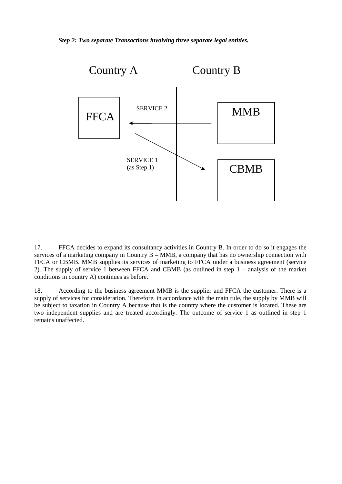*Step 2: Two separate Transactions involving three separate legal entities.* 



17. FFCA decides to expand its consultancy activities in Country B. In order to do so it engages the services of a marketing company in Country B – MMB, a company that has no ownership connection with FFCA or CBMB. MMB supplies its services of marketing to FFCA under a business agreement (service 2). The supply of service 1 between FFCA and CBMB (as outlined in step 1 – analysis of the market conditions in country A) continues as before.

18. According to the business agreement MMB is the supplier and FFCA the customer. There is a supply of services for consideration. Therefore, in accordance with the main rule, the supply by MMB will be subject to taxation in Country A because that is the country where the customer is located. These are two independent supplies and are treated accordingly. The outcome of service 1 as outlined in step 1 remains unaffected.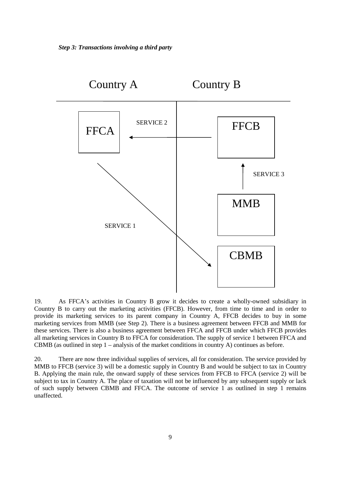

19. As FFCA's activities in Country B grow it decides to create a wholly-owned subsidiary in Country B to carry out the marketing activities (FFCB). However, from time to time and in order to provide its marketing services to its parent company in Country A, FFCB decides to buy in some marketing services from MMB (see Step 2). There is a business agreement between FFCB and MMB for these services. There is also a business agreement between FFCA and FFCB under which FFCB provides all marketing services in Country B to FFCA for consideration. The supply of service 1 between FFCA and CBMB (as outlined in step 1 – analysis of the market conditions in country A) continues as before.

20. There are now three individual supplies of services, all for consideration. The service provided by MMB to FFCB (service 3) will be a domestic supply in Country B and would be subject to tax in Country B. Applying the main rule, the onward supply of these services from FFCB to FFCA (service 2) will be subject to tax in Country A. The place of taxation will not be influenced by any subsequent supply or lack of such supply between CBMB and FFCA. The outcome of service 1 as outlined in step 1 remains unaffected.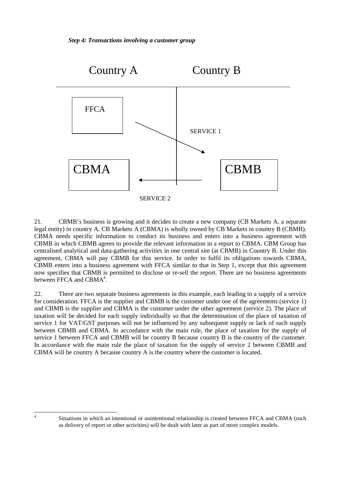

21. CBMB's business is growing and it decides to create a new company (CB Markets A, a separate legal entity) in country A. CB Markets A (CBMA) is wholly owned by CB Markets in country B (CBMB). CBMA needs specific information to conduct its business and enters into a business agreement with CBMB in which CBMB agrees to provide the relevant information in a report to CBMA. CBM Group has centralised analytical and data-gathering activities in one central site (at CBMB) in Country B. Under this agreement, CBMA will pay CBMB for this service. In order to fulfil its obligations towards CBMA, CBMB enters into a business agreement with FFCA similar to that in Step 1, except that this agreement now specifies that CBMB is permitted to disclose or re-sell the report. There are no business agreements between FFCA and CBMA<sup>4</sup>.

22. There are two separate business agreements in this example, each leading to a supply of a service for consideration. FFCA is the supplier and CBMB is the customer under one of the agreements (service 1) and CBMB is the supplier and CBMA is the customer under the other agreement (service 2). The place of taxation will be decided for each supply individually so that the determination of the place of taxation of service 1 for VAT/GST purposes will not be influenced by any subsequent supply or lack of such supply between CBMB and CBMA. In accordance with the main rule, the place of taxation for the supply of service 1 between FFCA and CBMB will be country B because country B is the country of the customer. In accordance with the main rule the place of taxation for the supply of service 2 between CBMB and CBMA will be country A because country A is the country where the customer is located.

 $\overline{a}$ 4

Situations in which an intentional or unintentional relationship is created between FFCA and CBMA (such as delivery of report or other activities) will be dealt with later as part of more complex models.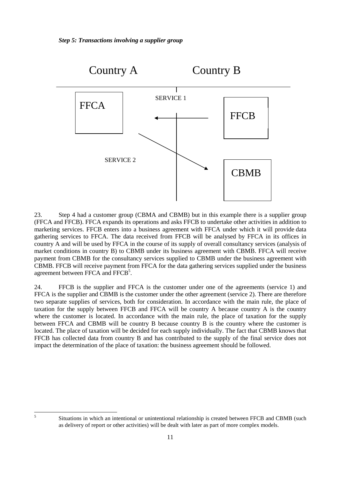

23. Step 4 had a customer group (CBMA and CBMB) but in this example there is a supplier group (FFCA and FFCB). FFCA expands its operations and asks FFCB to undertake other activities in addition to marketing services. FFCB enters into a business agreement with FFCA under which it will provide data gathering services to FFCA. The data received from FFCB will be analysed by FFCA in its offices in country A and will be used by FFCA in the course of its supply of overall consultancy services (analysis of market conditions in country B) to CBMB under its business agreement with CBMB. FFCA will receive payment from CBMB for the consultancy services supplied to CBMB under the business agreement with CBMB. FFCB will receive payment from FFCA for the data gathering services supplied under the business agreement between FFCA and FFCB<sup>5</sup>.

24. FFCB is the supplier and FFCA is the customer under one of the agreements (service 1) and FFCA is the supplier and CBMB is the customer under the other agreement (service 2). There are therefore two separate supplies of services, both for consideration. In accordance with the main rule, the place of taxation for the supply between FFCB and FFCA will be country A because country A is the country where the customer is located. In accordance with the main rule, the place of taxation for the supply between FFCA and CBMB will be country B because country B is the country where the customer is located. The place of taxation will be decided for each supply individually. The fact that CBMB knows that FFCB has collected data from country B and has contributed to the supply of the final service does not impact the determination of the place of taxation: the business agreement should be followed.

5

Situations in which an intentional or unintentional relationship is created between FFCB and CBMB (such as delivery of report or other activities) will be dealt with later as part of more complex models.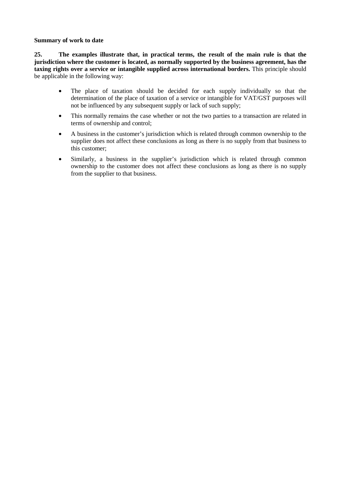#### **Summary of work to date**

**25. The examples illustrate that, in practical terms, the result of the main rule is that the jurisdiction where the customer is located, as normally supported by the business agreement, has the taxing rights over a service or intangible supplied across international borders.** This principle should be applicable in the following way:

- The place of taxation should be decided for each supply individually so that the determination of the place of taxation of a service or intangible for VAT/GST purposes will not be influenced by any subsequent supply or lack of such supply;
- This normally remains the case whether or not the two parties to a transaction are related in terms of ownership and control;
- A business in the customer's jurisdiction which is related through common ownership to the supplier does not affect these conclusions as long as there is no supply from that business to this customer;
- Similarly, a business in the supplier's jurisdiction which is related through common ownership to the customer does not affect these conclusions as long as there is no supply from the supplier to that business.